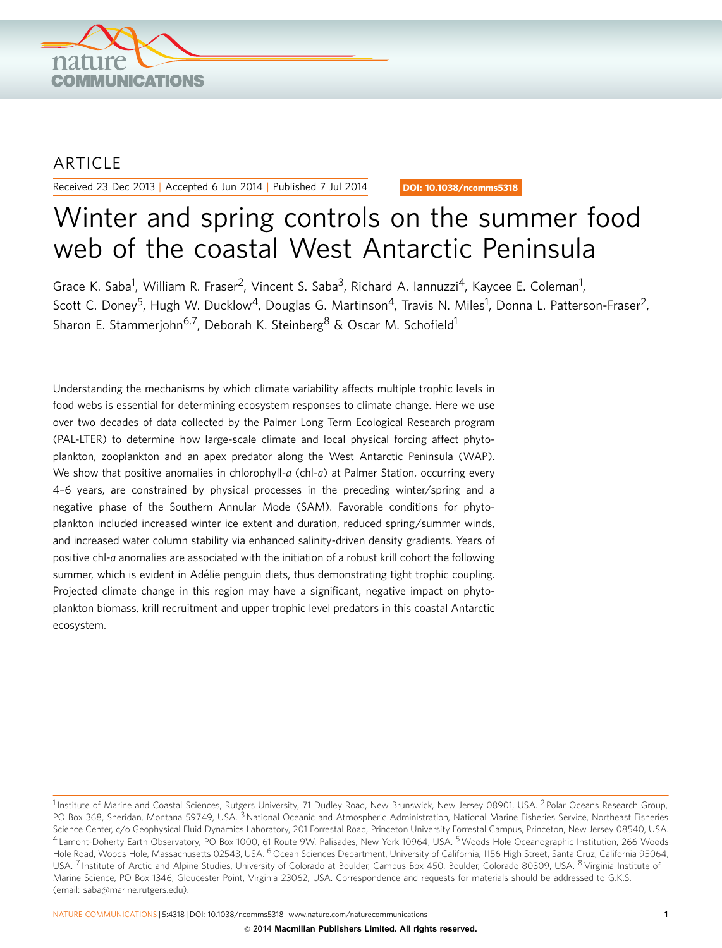

## ARTICLE

Received 23 Dec 2013 | Accepted 6 Jun 2014 | Published 7 Jul 2014

DOI: 10.1038/ncomms5318

# Winter and spring controls on the summer food web of the coastal West Antarctic Peninsula

Grace K. Saba<sup>1</sup>, William R. Fraser<sup>2</sup>, Vincent S. Saba<sup>3</sup>, Richard A. Iannuzzi<sup>4</sup>, Kaycee E. Coleman<sup>1</sup>, Scott C. Doney<sup>5</sup>, Hugh W. Ducklow<sup>4</sup>, Douglas G. Martinson<sup>4</sup>, Travis N. Miles<sup>1</sup>, Donna L. Patterson-Fraser<sup>2</sup>, Sharon E. Stammerjohn<sup>6,7</sup>, Deborah K. Steinberg<sup>8</sup> & Oscar M. Schofield<sup>1</sup>

Understanding the mechanisms by which climate variability affects multiple trophic levels in food webs is essential for determining ecosystem responses to climate change. Here we use over two decades of data collected by the Palmer Long Term Ecological Research program (PAL-LTER) to determine how large-scale climate and local physical forcing affect phytoplankton, zooplankton and an apex predator along the West Antarctic Peninsula (WAP). We show that positive anomalies in chlorophyll-a (chl-a) at Palmer Station, occurring every 4–6 years, are constrained by physical processes in the preceding winter/spring and a negative phase of the Southern Annular Mode (SAM). Favorable conditions for phytoplankton included increased winter ice extent and duration, reduced spring/summer winds, and increased water column stability via enhanced salinity-driven density gradients. Years of positive chl-a anomalies are associated with the initiation of a robust krill cohort the following summer, which is evident in Adélie penguin diets, thus demonstrating tight trophic coupling. Projected climate change in this region may have a significant, negative impact on phytoplankton biomass, krill recruitment and upper trophic level predators in this coastal Antarctic ecosystem.

NATURE COMMUNICATIONS | 5:4318 | DOI: 10.1038/ncomms5318 | [www.nature.com/naturecommunications](http://www.nature.com/naturecommunications) 1

<sup>&</sup>lt;sup>1</sup> Institute of Marine and Coastal Sciences, Rutgers University, 71 Dudley Road, New Brunswick, New Jersey 08901, USA. <sup>2</sup> Polar Oceans Research Group, PO Box 368, Sheridan, Montana 59749, USA. <sup>3</sup>National Oceanic and Atmospheric Administration, National Marine Fisheries Service, Northeast Fisheries Science Center, c/o Geophysical Fluid Dynamics Laboratory, 201 Forrestal Road, Princeton University Forrestal Campus, Princeton, New Jersey 08540, USA. <sup>4</sup> Lamont-Doherty Earth Observatory, PO Box 1000, 61 Route 9W, Palisades, New York 10964, USA. <sup>5</sup> Woods Hole Oceanographic Institution, 266 Woods Hole Road, Woods Hole, Massachusetts 02543, USA. <sup>6</sup> Ocean Sciences Department, University of California, 1156 High Street, Santa Cruz, California 95064, USA. <sup>7</sup> Institute of Arctic and Alpine Studies, University of Colorado at Boulder, Campus Box 450, Boulder, Colorado 80309, USA. <sup>8</sup> Virginia Institute of Marine Science, PO Box 1346, Gloucester Point, Virginia 23062, USA. Correspondence and requests for materials should be addressed to G.K.S. (email: [saba@marine.rutgers.edu](mailto:saba@marine.rutgers.edu)).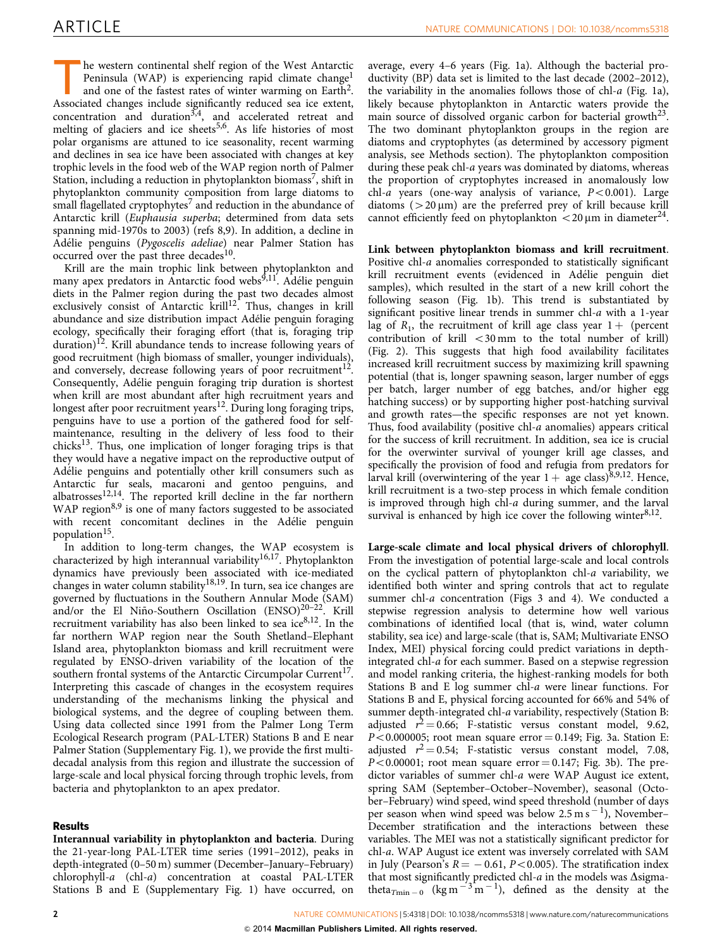he western continental shelf region of the West Antarctic Peninsula (WAP) is experiencing rapid climate change<sup>1</sup> and one of the fastest rates of winter warming on Earth<sup>2</sup>. Associated changes include significantly reduced sea ice extent, concentration and duration  $3,4$ , and accelerated retreat and melting of glaciers and ice sheets<sup>[5,6](#page-6-0)</sup>. As life histories of most polar organisms are attuned to ice seasonality, recent warming and declines in sea ice have been associated with changes at key trophic levels in the food web of the WAP region north of Palmer Station, including a reduction in phytoplankton biomass<sup>7</sup>, shift in phytoplankton community composition from large diatoms to small flagellated cryptophytes<sup>[7](#page-6-0)</sup> and reduction in the abundance of Antarctic krill (Euphausia superba; determined from data sets spanning mid-1970s to 2003) ([refs 8,9\)](#page-6-0). In addition, a decline in Adélie penguins (Pygoscelis adeliae) near Palmer Station has occurred over the past three decades<sup>[10](#page-6-0)</sup>.

Krill are the main trophic link between phytoplankton and many apex predators in Antarctic food webs<sup>[9,11](#page-6-0)'</sup>. Adélie penguin diets in the Palmer region during the past two decades almost exclusively consist of Antarctic krill<sup>12</sup>. Thus, changes in krill abundance and size distribution impact Adélie penguin foraging ecology, specifically their foraging effort (that is, foraging trip duration)<sup>12</sup>. Krill abundance tends to increase following years of good recruitment (high biomass of smaller, younger individuals), and conversely, decrease following years of poor recruitment<sup>12</sup>. Consequently, Adélie penguin foraging trip duration is shortest when krill are most abundant after high recruitment years and longest after poor recruitment years<sup>12</sup>. During long foraging trips, penguins have to use a portion of the gathered food for selfmaintenance, resulting in the delivery of less food to their  $chicks^{13}$ . Thus, one implication of longer foraging trips is that they would have a negative impact on the reproductive output of Adélie penguins and potentially other krill consumers such as Antarctic fur seals, macaroni and gentoo penguins, and albatrosses<sup>12,14</sup>. The reported krill decline in the far northern WAP region $8,9$  is one of many factors suggested to be associated with recent concomitant declines in the Adélie penguin population<sup>[15](#page-6-0)</sup>.

In addition to long-term changes, the WAP ecosystem is characterized by high interannual variability<sup>[16,17](#page-6-0)</sup>. Phytoplankton dynamics have previously been associated with ice-mediated changes in water column stability<sup>18,19</sup>. In turn, sea ice changes are governed by fluctuations in the Southern Annular Mode (SAM) and/or the El Niño-Southern Oscillation  $(ENSO)^{20-22}$ . Krill recruitment variability has also been linked to sea ice $8,12$ . In the far northern WAP region near the South Shetland–Elephant Island area, phytoplankton biomass and krill recruitment were regulated by ENSO-driven variability of the location of the southern frontal systems of the Antarctic Circumpolar Current<sup>17</sup>. Interpreting this cascade of changes in the ecosystem requires understanding of the mechanisms linking the physical and biological systems, and the degree of coupling between them. Using data collected since 1991 from the Palmer Long Term Ecological Research program (PAL-LTER) Stations B and E near Palmer Station (Supplementary Fig. 1), we provide the first multidecadal analysis from this region and illustrate the succession of large-scale and local physical forcing through trophic levels, from bacteria and phytoplankton to an apex predator.

### Results

Interannual variability in phytoplankton and bacteria. During the 21-year-long PAL-LTER time series (1991–2012), peaks in depth-integrated (0–50 m) summer (December–January–February) chlorophyll-a (chl-a) concentration at coastal PAL-LTER Stations B and E (Supplementary Fig. 1) have occurred, on

average, every 4–6 years [\(Fig. 1a\)](#page-2-0). Although the bacterial productivity (BP) data set is limited to the last decade (2002–2012), the variability in the anomalies follows those of chl-a [\(Fig. 1a](#page-2-0)), likely because phytoplankton in Antarctic waters provide the main source of dissolved organic carbon for bacterial growth<sup>23</sup>. The two dominant phytoplankton groups in the region are diatoms and cryptophytes (as determined by accessory pigment analysis, see Methods section). The phytoplankton composition during these peak chl-a years was dominated by diatoms, whereas the proportion of cryptophytes increased in anomalously low chl-a years (one-way analysis of variance,  $P < 0.001$ ). Large diatoms ( $>$ 20  $\mu$ m) are the preferred prey of krill because krill cannot efficiently feed on phytoplankton  $<$  20  $\mu$ m in diameter<sup>24</sup>.

### Link between phytoplankton biomass and krill recruitment. Positive chl-a anomalies corresponded to statistically significant krill recruitment events (evidenced in Adélie penguin diet samples), which resulted in the start of a new krill cohort the following season ([Fig. 1b](#page-2-0)). This trend is substantiated by significant positive linear trends in summer chl-a with a 1-year lag of  $R_1$ , the recruitment of krill age class year  $1+$  (percent contribution of krill  $\langle 30 \text{ mm}$  to the total number of krill) ([Fig. 2](#page-3-0)). This suggests that high food availability facilitates increased krill recruitment success by maximizing krill spawning potential (that is, longer spawning season, larger number of eggs per batch, larger number of egg batches, and/or higher egg hatching success) or by supporting higher post-hatching survival and growth rates—the specific responses are not yet known. Thus, food availability (positive chl-a anomalies) appears critical for the success of krill recruitment. In addition, sea ice is crucial for the overwinter survival of younger krill age classes, and specifically the provision of food and refugia from predators for larval krill (overwintering of the year  $1 + \overline{a}$ ge class)<sup>[8,9,12](#page-6-0)</sup>. Hence, krill recruitment is a two-step process in which female condition is improved through high chl-a during summer, and the larval survival is enhanced by high ice cover the following winter $8,12$ .

Large-scale climate and local physical drivers of chlorophyll. From the investigation of potential large-scale and local controls on the cyclical pattern of phytoplankton chl-a variability, we identified both winter and spring controls that act to regulate summer chl-a concentration ([Figs 3 and 4\)](#page-3-0). We conducted a stepwise regression analysis to determine how well various combinations of identified local (that is, wind, water column stability, sea ice) and large-scale (that is, SAM; Multivariate ENSO Index, MEI) physical forcing could predict variations in depthintegrated chl-a for each summer. Based on a stepwise regression and model ranking criteria, the highest-ranking models for both Stations B and E log summer chl-a were linear functions. For Stations B and E, physical forcing accounted for 66% and 54% of summer depth-integrated chl-a variability, respectively (Station B: adjusted  $r^2 = 0.66$ ; F-statistic versus constant model, 9.62,  $P < 0.000005$ ; root mean square error = 0.149; [Fig. 3a](#page-3-0). Station E: adjusted  $r^2 = 0.54$ ; F-statistic versus constant model, 7.08,  $P<0.00001$ ; root mean square error = 0.147; [Fig. 3b](#page-3-0)). The predictor variables of summer chl-a were WAP August ice extent, spring SAM (September–October–November), seasonal (October–February) wind speed, wind speed threshold (number of days per season when wind speed was below  $2.5 \text{ m s}^{-1}$ ), November-December stratification and the interactions between these variables. The MEI was not a statistically significant predictor for chl-a. WAP August ice extent was inversely correlated with SAM in July (Pearson's  $R = -0.61$ ,  $P < 0.005$ ). The stratification index that most significantly predicted chl- $a$  in the models was  $\Delta$ sigmatheta<sub>Tmin – 0</sub> (kg m<sup>-3</sup>m<sup>-1</sup>), defined as the density at the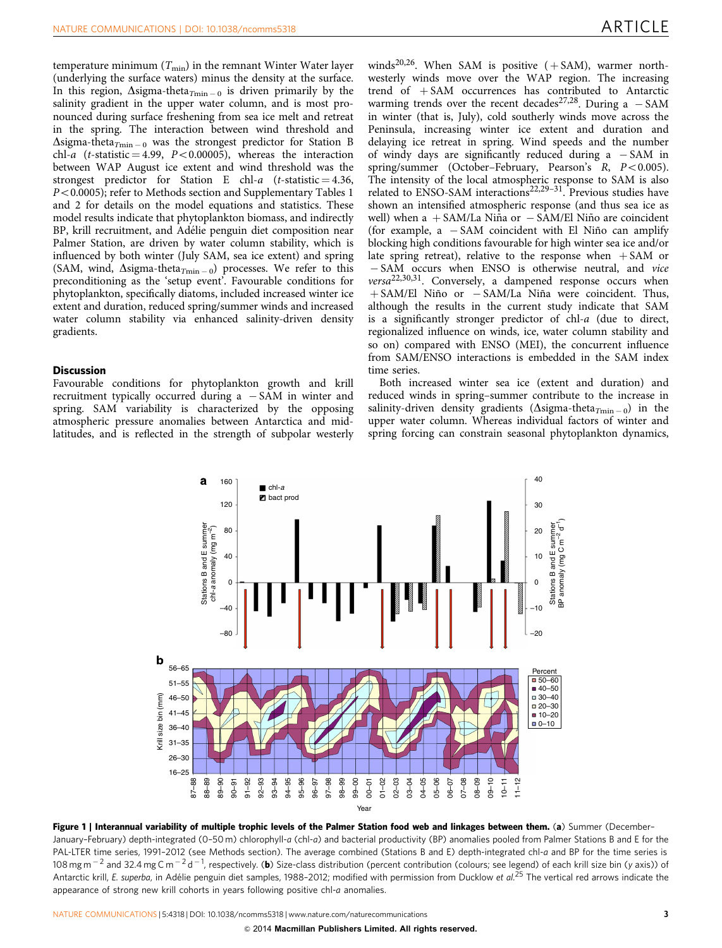<span id="page-2-0"></span>temperature minimum  $(T_{min})$  in the remnant Winter Water layer (underlying the surface waters) minus the density at the surface. In this region,  $\Delta$ sigma-theta $_{T\mathrm{min} \, - \, 0}$  is driven primarily by the salinity gradient in the upper water column, and is most pronounced during surface freshening from sea ice melt and retreat in the spring. The interaction between wind threshold and  $\Delta$ sigma-theta $_{T\mathrm{min}-0}$  was the strongest predictor for Station B chl-a (t-statistic = 4.99,  $P < 0.00005$ ), whereas the interaction between WAP August ice extent and wind threshold was the strongest predictor for Station E chl-a  $(t\text{-statistic} = 4.36,$  $P < 0.0005$ ; refer to Methods section and Supplementary Tables 1 and 2 for details on the model equations and statistics. These model results indicate that phytoplankton biomass, and indirectly BP, krill recruitment, and Adélie penguin diet composition near Palmer Station, are driven by water column stability, which is influenced by both winter (July SAM, sea ice extent) and spring (SAM, wind,  $\Delta$ sigma-theta $_{T\min - 0}$ ) processes. We refer to this preconditioning as the 'setup event'. Favourable conditions for phytoplankton, specifically diatoms, included increased winter ice extent and duration, reduced spring/summer winds and increased water column stability via enhanced salinity-driven density gradients.

#### **Discussion**

Favourable conditions for phytoplankton growth and krill recruitment typically occurred during a  $-$  SAM in winter and spring. SAM variability is characterized by the opposing atmospheric pressure anomalies between Antarctica and midlatitudes, and is reflected in the strength of subpolar westerly

winds<sup>[20,26](#page-6-0)</sup>. When SAM is positive  $(+$  SAM), warmer northwesterly winds move over the WAP region. The increasing trend of  $+$  SAM occurrences has contributed to Antarctic warming trends over the recent decades<sup>[27,28](#page-6-0)</sup>. During a  $-$  SAM in winter (that is, July), cold southerly winds move across the Peninsula, increasing winter ice extent and duration and delaying ice retreat in spring. Wind speeds and the number of windy days are significantly reduced during a  $-$  SAM in spring/summer (October–February, Pearson's  $R$ ,  $P < 0.005$ ). The intensity of the local atmospheric response to SAM is also related to ENSO-SAM interactions<sup>[22,29–31](#page-6-0)</sup>. Previous studies have shown an intensified atmospheric response (and thus sea ice as well) when  $a + SAM/La$  Niña or  $- SAM/El$  Niño are coincident (for example,  $a - SAM$  coincident with El Niño can amplify blocking high conditions favourable for high winter sea ice and/or late spring retreat), relative to the response when  $+$  SAM or - SAM occurs when ENSO is otherwise neutral, and vice  $versa<sup>22,30,31</sup>$ . Conversely, a dampened response occurs when + SAM/El Niño or - SAM/La Niña were coincident. Thus, although the results in the current study indicate that SAM is a significantly stronger predictor of chl-a (due to direct, regionalized influence on winds, ice, water column stability and so on) compared with ENSO (MEI), the concurrent influence from SAM/ENSO interactions is embedded in the SAM index time series.

Both increased winter sea ice (extent and duration) and reduced winds in spring–summer contribute to the increase in salinity-driven density gradients ( $\Delta$ sigma-theta $_{Tmin - 0}$ ) in the upper water column. Whereas individual factors of winter and spring forcing can constrain seasonal phytoplankton dynamics,



Figure 1 | Interannual variability of multiple trophic levels of the Palmer Station food web and linkages between them. (a) Summer (December-January-February) depth-integrated (0-50 m) chlorophyll-a (chl-a) and bacterial productivity (BP) anomalies pooled from Palmer Stations B and E for the PAL-LTER time series, 1991-2012 (see Methods section). The average combined (Stations B and E) depth-integrated chl-a and BP for the time series is 108 mg m $^{-2}$  and 32.4 mg C m $^{-2}$ d $^{-1}$ , respectively. (**b**) Size-class distribution (percent contribution (colours; see legend) of each krill size bin (y axis)) of Antarctic krill, E. superba, in Adélie penguin diet samples, 1988-2012; modified with permission from Ducklow et al.<sup>25</sup> The vertical red arrows indicate the appearance of strong new krill cohorts in years following positive chl-a anomalies.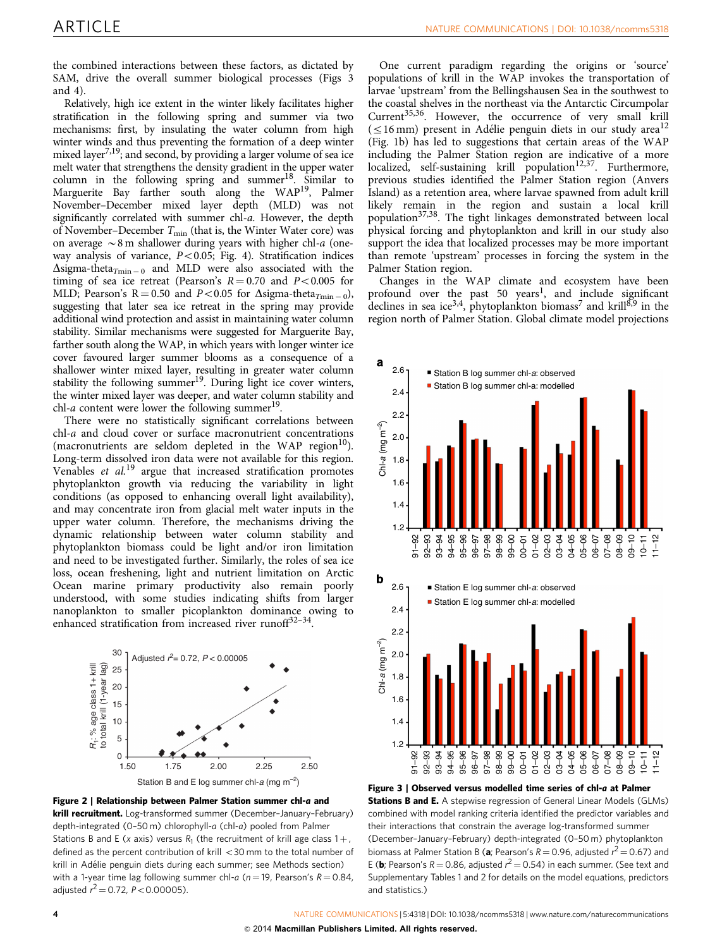<span id="page-3-0"></span>the combined interactions between these factors, as dictated by SAM, drive the overall summer biological processes (Figs 3 and 4).

Relatively, high ice extent in the winter likely facilitates higher stratification in the following spring and summer via two mechanisms: first, by insulating the water column from high winter winds and thus preventing the formation of a deep winter mixed layer<sup>7,19</sup>; and second, by providing a larger volume of sea ice melt water that strengthens the density gradient in the upper water column in the following spring and summer $18$ . Similar to Marguerite Bay farther south along the WAP<sup>19</sup>, Palmer November–December mixed layer depth (MLD) was not significantly correlated with summer chl-a. However, the depth of November–December  $T_{\text{min}}$  (that is, the Winter Water core) was on average  $\sim$  8 m shallower during years with higher chl-a (oneway analysis of variance,  $P < 0.05$ ; [Fig. 4](#page-4-0)). Stratification indices  $\Delta$ sigma-theta $_{T\min - 0}$  and MLD were also associated with the timing of sea ice retreat (Pearson's  $R = 0.70$  and  $P < 0.005$  for MLD; Pearson's  $R = 0.50$  and  $P < 0.05$  for  $\Delta$ sigma-theta $_{T\text{min}} = 0$ ), suggesting that later sea ice retreat in the spring may provide additional wind protection and assist in maintaining water column stability. Similar mechanisms were suggested for Marguerite Bay, farther south along the WAP, in which years with longer winter ice cover favoured larger summer blooms as a consequence of a shallower winter mixed layer, resulting in greater water column stability the following summer<sup>19</sup>. During light ice cover winters, the winter mixed layer was deeper, and water column stability and chl-a content were lower the following summer<sup>19</sup>.

There were no statistically significant correlations between chl-a and cloud cover or surface macronutrient concentrations (macronutrients are seldom depleted in the WAP region<sup>[10](#page-6-0)</sup>). Long-term dissolved iron data were not available for this region. Venables  $et$   $al$ <sup>[19](#page-6-0)</sup> argue that increased stratification promotes phytoplankton growth via reducing the variability in light conditions (as opposed to enhancing overall light availability), and may concentrate iron from glacial melt water inputs in the upper water column. Therefore, the mechanisms driving the dynamic relationship between water column stability and phytoplankton biomass could be light and/or iron limitation and need to be investigated further. Similarly, the roles of sea ice loss, ocean freshening, light and nutrient limitation on Arctic Ocean marine primary productivity also remain poorly understood, with some studies indicating shifts from larger nanoplankton to smaller picoplankton dominance owing to enhanced stratification from increased river runoff $32-34$ .





Figure 2 | Relationship between Palmer Station summer chl-a and krill recruitment. Log-transformed summer (December-January-February) depth-integrated (0–50 m) chlorophyll-a (chl-a) pooled from Palmer Stations B and E (x axis) versus  $R_1$  (the recruitment of krill age class  $1+$ , defined as the percent contribution of krill  $<$  30 mm to the total number of krill in Adélie penguin diets during each summer; see Methods section) with a 1-year time lag following summer chl-a ( $n = 19$ , Pearson's  $R = 0.84$ , adjusted  $r^2 = 0.72$ ,  $P < 0.00005$ ).

One current paradigm regarding the origins or 'source' populations of krill in the WAP invokes the transportation of larvae 'upstream' from the Bellingshausen Sea in the southwest to the coastal shelves in the northeast via the Antarctic Circumpolar Current<sup>35,36</sup>. However, the occurrence of very small krill  $( $\leq$ 16 mm) present in Adélie penguin diets in our study area<sup>12</sup>$  $( $\leq$ 16 mm) present in Adélie penguin diets in our study area<sup>12</sup>$  $( $\leq$ 16 mm) present in Adélie penguin diets in our study area<sup>12</sup>$ ([Fig. 1b\)](#page-2-0) has led to suggestions that certain areas of the WAP including the Palmer Station region are indicative of a more  $\int$ localized, self-sustaining krill population<sup>12,37</sup>. Furthermore, previous studies identified the Palmer Station region (Anvers Island) as a retention area, where larvae spawned from adult krill likely remain in the region and sustain a local krill population<sup>[37,38](#page-7-0)</sup>. The tight linkages demonstrated between local physical forcing and phytoplankton and krill in our study also support the idea that localized processes may be more important than remote 'upstream' processes in forcing the system in the Palmer Station region.

Changes in the WAP climate and ecosystem have been profound over the past 50 years<sup>1</sup>, and include significant declines in sea ice<sup>3,4</sup>, phytoplankton biomass<sup>7</sup> and krill<sup>[8,9](#page-6-0)</sup> in the region north of Palmer Station. Global climate model projections



Figure 3 | Observed versus modelled time series of chl-a at Palmer Stations B and E. A stepwise regression of General Linear Models (GLMs) combined with model ranking criteria identified the predictor variables and their interactions that constrain the average log-transformed summer (December–January–February) depth-integrated (0–50 m) phytoplankton biomass at Palmer Station B (a; Pearson's  $R = 0.96$ , adjusted  $r^2 = 0.67$ ) and E (**b**; Pearson's  $R = 0.86$ , adjusted  $r^2 = 0.54$ ) in each summer. (See text and Supplementary Tables 1 and 2 for details on the model equations, predictors and statistics.)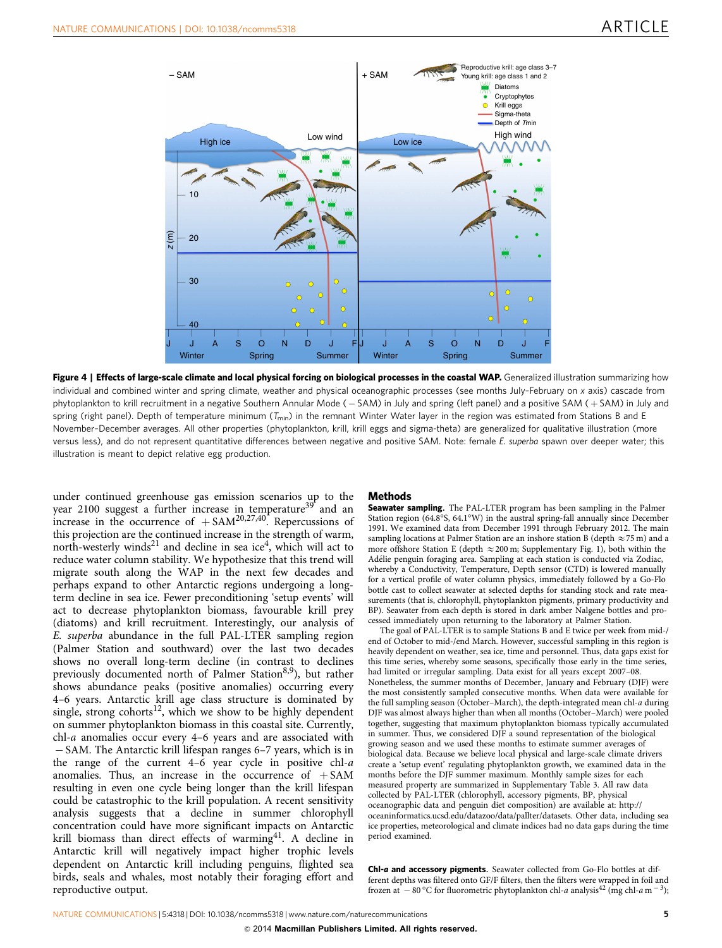<span id="page-4-0"></span>

Figure 4 | Effects of large-scale climate and local physical forcing on biological processes in the coastal WAP. Generalized illustration summarizing how individual and combined winter and spring climate, weather and physical oceanographic processes (see months July–February on x axis) cascade from phytoplankton to krill recruitment in a negative Southern Annular Mode ( – SAM) in July and spring (left panel) and a positive SAM ( + SAM) in July and spring (right panel). Depth of temperature minimum ( $T_{min}$ ) in the remnant Winter Water layer in the region was estimated from Stations B and E November–December averages. All other properties (phytoplankton, krill, krill eggs and sigma-theta) are generalized for qualitative illustration (more versus less), and do not represent quantitative differences between negative and positive SAM. Note: female E. superba spawn over deeper water; this illustration is meant to depict relative egg production.

under continued greenhouse gas emission scenarios up to the year 2100 suggest a further increase in temperature<sup>[39](#page-7-0)</sup> and an increase in the occurrence of  $+$  SAM<sup>20,27,40</sup>. Repercussions of this projection are the continued increase in the strength of warm, north-westerly winds<sup>21</sup> and decline in sea ice<sup>4</sup>, which will act to reduce water column stability. We hypothesize that this trend will migrate south along the WAP in the next few decades and perhaps expand to other Antarctic regions undergoing a longterm decline in sea ice. Fewer preconditioning 'setup events' will act to decrease phytoplankton biomass, favourable krill prey (diatoms) and krill recruitment. Interestingly, our analysis of E. superba abundance in the full PAL-LTER sampling region (Palmer Station and southward) over the last two decades shows no overall long-term decline (in contrast to declines previously documented north of Palmer Station<sup>8,9</sup>), but rather shows abundance peaks (positive anomalies) occurring every 4–6 years. Antarctic krill age class structure is dominated by single, strong cohorts<sup>12</sup>, which we show to be highly dependent on summer phytoplankton biomass in this coastal site. Currently, chl-a anomalies occur every 4–6 years and are associated with - SAM. The Antarctic krill lifespan ranges 6–7 years, which is in the range of the current 4–6 year cycle in positive chl-a anomalies. Thus, an increase in the occurrence of  $+$  SAM resulting in even one cycle being longer than the krill lifespan could be catastrophic to the krill population. A recent sensitivity analysis suggests that a decline in summer chlorophyll concentration could have more significant impacts on Antarctic krill biomass than direct effects of warming<sup>41</sup>. A decline in Antarctic krill will negatively impact higher trophic levels dependent on Antarctic krill including penguins, flighted sea birds, seals and whales, most notably their foraging effort and reproductive output.

#### Methods

Seawater sampling. The PAL-LTER program has been sampling in the Palmer Station region (64.8°S, 64.1°W) in the austral spring-fall annually since December 1991. We examined data from December 1991 through February 2012. The main sampling locations at Palmer Station are an inshore station B (depth  $\approx$  75 m) and a more offshore Station E (depth  $\approx$  200 m; Supplementary Fig. 1), both within the Adélie penguin foraging area. Sampling at each station is conducted via Zodiac, whereby a Conductivity, Temperature, Depth sensor (CTD) is lowered manually for a vertical profile of water column physics, immediately followed by a Go-Flo bottle cast to collect seawater at selected depths for standing stock and rate measurements (that is, chlorophyll, phytoplankton pigments, primary productivity and BP). Seawater from each depth is stored in dark amber Nalgene bottles and processed immediately upon returning to the laboratory at Palmer Station.

The goal of PAL-LTER is to sample Stations B and E twice per week from mid-/ end of October to mid-/end March. However, successful sampling in this region is heavily dependent on weather, sea ice, time and personnel. Thus, data gaps exist for this time series, whereby some seasons, specifically those early in the time series, had limited or irregular sampling. Data exist for all years except 2007–08. Nonetheless, the summer months of December, January and February (DJF) were the most consistently sampled consecutive months. When data were available for the full sampling season (October-March), the depth-integrated mean chl-a during DJF was almost always higher than when all months (October–March) were pooled together, suggesting that maximum phytoplankton biomass typically accumulated in summer. Thus, we considered DJF a sound representation of the biological growing season and we used these months to estimate summer averages of biological data. Because we believe local physical and large-scale climate drivers create a 'setup event' regulating phytoplankton growth, we examined data in the months before the DJF summer maximum. Monthly sample sizes for each measured property are summarized in Supplementary Table 3. All raw data collected by PAL-LTER (chlorophyll, accessory pigments, BP, physical oceanographic data and penguin diet composition) are available at: [http://](http://oceaninformatics.ucsd.edu/datazoo/data/pallter/datasets) [oceaninformatics.ucsd.edu/datazoo/data/pallter/datasets.](http://oceaninformatics.ucsd.edu/datazoo/data/pallter/datasets) Other data, including sea ice properties, meteorological and climate indices had no data gaps during the time period examined.

Chl-a and accessory pigments. Seawater collected from Go-Flo bottles at different depths was filtered onto GF/F filters, then the filters were wrapped in foil and frozen at  $-80$  °C for fluorometric phytoplankton chl-a analysis<sup>[42](#page-7-0)</sup> (mg chl-a m<sup>-3</sup>);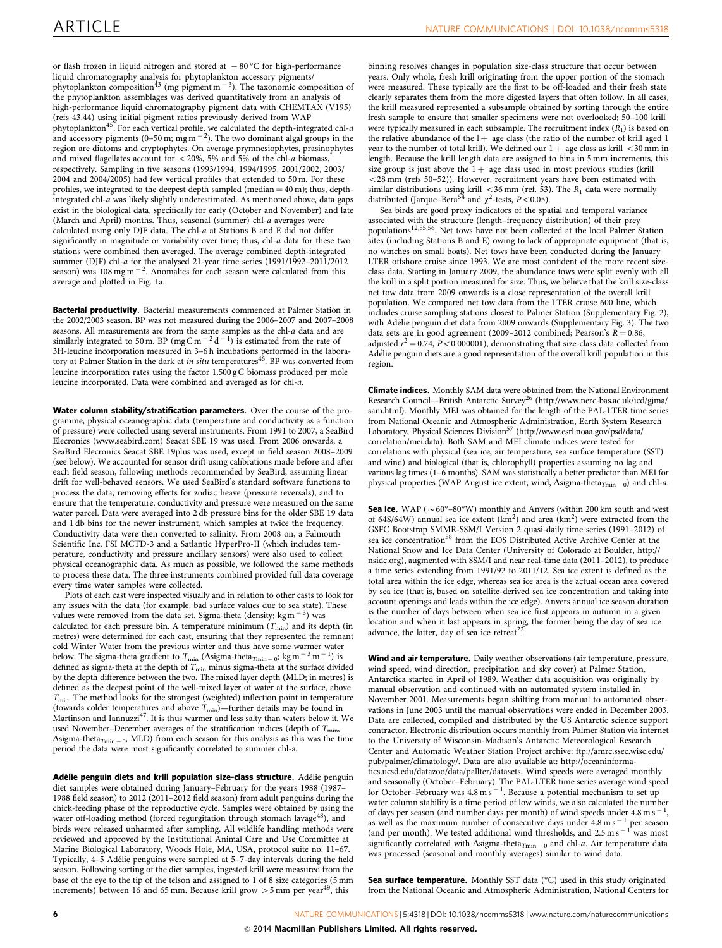or flash frozen in liquid nitrogen and stored at  $\,$  – 80  $^\circ \mathrm{C}$  for high-performance liquid chromatography analysis for phytoplankton accessory pigments/<br>phytoplankton composition<sup>[43](#page-7-0)</sup> (mg pigment m <sup>– 3</sup>). The taxonomic composition of the phytoplankton assemblages was derived quantitatively from an analysis of high-performance liquid chromatography pigment data with CHEMTAX (V195) [\(refs 43,44](#page-7-0)) using initial pigment ratios previously derived from WAP phytoplankton[45](#page-7-0). For each vertical profile, we calculated the depth-integrated chl-a and accessory pigments (0–50 m; mg m  $^{-2}$ ). The two dominant algal groups in the region are diatoms and cryptophytes. On average prymnesiophytes, prasinophytes and mixed flagellates account for  $<$  20%, 5% and 5% of the chl-a biomass, respectively. Sampling in five seasons (1993/1994, 1994/1995, 2001/2002, 2003/ 2004 and 2004/2005) had few vertical profiles that extended to 50 m. For these profiles, we integrated to the deepest depth sampled (median  $=$  40 m); thus, depthintegrated chl-a was likely slightly underestimated. As mentioned above, data gaps exist in the biological data, specifically for early (October and November) and late (March and April) months. Thus, seasonal (summer) chl-a averages were calculated using only DJF data. The chl-a at Stations B and E did not differ significantly in magnitude or variability over time; thus, chl-a data for these two stations were combined then averaged. The average combined depth-integrated summer (DJF) chl-a for the analysed 21-year time series (1991/1992–2011/2012 season) was 108 mg m $^{-2}$ . Anomalies for each season were calculated from this average and plotted in [Fig. 1a](#page-2-0).

**Bacterial productivity.** Bacterial measurements commenced at Palmer Station in the 2002/2003 season. BP was not measured during the 2006–2007 and 2007–2008 seasons. All measurements are from the same samples as the chl-a data and are similarly integrated to 50 m. BP (mg C m  $^{-2}$  d  $^{-1}$ ) is estimated from the rate of 3H-leucine incorporation measured in 3–6 h incubations performed in the laboratory at Palmer Station in the dark at *in situ* temperatures<sup>46</sup>. BP was converted from leucine incorporation rates using the factor 1,500 g C biomass produced per mole leucine incorporated. Data were combined and averaged as for chl-a.

Water column stability/stratification parameters. Over the course of the programme, physical oceanographic data (temperature and conductivity as a function of pressure) were collected using several instruments. From 1991 to 2007, a SeaBird Elecronics [\(www.seabird.com](www.seabird.com)) Seacat SBE 19 was used. From 2006 onwards, a SeaBird Elecronics Seacat SBE 19plus was used, except in field season 2008–2009 (see below). We accounted for sensor drift using calibrations made before and after each field season, following methods recommended by SeaBird, assuming linear drift for well-behaved sensors. We used SeaBird's standard software functions to process the data, removing effects for zodiac heave (pressure reversals), and to ensure that the temperature, conductivity and pressure were measured on the same water parcel. Data were averaged into 2 db pressure bins for the older SBE 19 data and 1 db bins for the newer instrument, which samples at twice the frequency. Conductivity data were then converted to salinity. From 2008 on, a Falmouth Scientific Inc. FSI MCTD-3 and a Satlantic HyperPro-II (which includes temperature, conductivity and pressure ancillary sensors) were also used to collect physical oceanographic data. As much as possible, we followed the same methods to process these data. The three instruments combined provided full data coverage every time water samples were collected.

Plots of each cast were inspected visually and in relation to other casts to look for any issues with the data (for example, bad surface values due to sea state). These values were removed from the data set. Sigma-theta (density;  $\text{kg m}^{-3}$ ) was calculated for each pressure bin. A temperature minimum  $(T_{min})$  and its depth (in metres) were determined for each cast, ensuring that they represented the remnant cold Winter Water from the previous winter and thus have some warmer water below. The sigma-theta gradient to  $T_{\min}$  ( $\Delta$ sigma-theta $_{T\min - 0}$ ; kg m  $^{-3}$  m  $^{-1})$  is defined as sigma-theta at the depth of T<sub>min</sub> minus sigma-theta at the surface divided<br>by the depth difference between the two. The mixed layer depth (MLD; in metres) is defined as the deepest point of the well-mixed layer of water at the surface, above  $T_{\text{min}}$ . The method looks for the strongest (weighted) inflection point in temperature (towards colder temperatures and above  $T_{\text{min}}$ )—further details may be found in Martinson and Iannuzzi<sup>47</sup>. It is thus warmer and less salty than waters below it. We used November–December averages of the stratification indices (depth of  $T_{\rm min}$ ,  $\Delta$ sigma-theta $_{T\mathrm{min}-0}$ , MLD) from each season for this analysis as this was the time period the data were most significantly correlated to summer chl-a.

Adélie penguin diets and krill population size-class structure. Adélie penguin diet samples were obtained during January–February for the years 1988 (1987– 1988 field season) to 2012 (2011–2012 field season) from adult penguins during the chick-feeding phase of the reproductive cycle. Samples were obtained by using the water off-loading method (forced regurgitation through stomach lavage<sup>48</sup>), and birds were released unharmed after sampling. All wildlife handling methods were reviewed and approved by the Institutional Animal Care and Use Committee at Marine Biological Laboratory, Woods Hole, MA, USA, protocol suite no. 11–67. Typically, 4–5 Adélie penguins were sampled at 5–7-day intervals during the field season. Following sorting of the diet samples, ingested krill were measured from the base of the eye to the tip of the telson and assigned to 1 of 8 size categories (5 mm increments) between 16 and 65 mm. Because krill grow  $>$  5 mm per year<sup>[49](#page-7-0)</sup>, this

binning resolves changes in population size-class structure that occur between years. Only whole, fresh krill originating from the upper portion of the stomach were measured. These typically are the first to be off-loaded and their fresh state clearly separates them from the more digested layers that often follow. In all cases, the krill measured represented a subsample obtained by sorting through the entire fresh sample to ensure that smaller specimens were not overlooked; 50–100 krill were typically measured in each subsample. The recruitment index  $(R_1)$  is based on the relative abundance of the  $l +$  age class (the ratio of the number of krill aged 1 year to the number of total krill). We defined our  $1+$  age class as krill  $<$  30 mm in length. Because the krill length data are assigned to bins in 5 mm increments, this size group is just above the  $1 +$  age class used in most previous studies (krill  $<$  28 mm ([refs 50–52\)](#page-7-0)). However, recruitment years have been estimated with similar distributions using krill <36 mm [\(ref. 53](#page-7-0)). The  $R_1$  data were normally distributed (Jarque–Bera<sup>[54](#page-7-0)</sup> and  $\chi^2$ -tests, *P*<0.05).

Sea birds are good proxy indicators of the spatial and temporal variance associated with the structure (length–frequency distribution) of their prey populations[12,55,56.](#page-6-0) Net tows have not been collected at the local Palmer Station sites (including Stations B and E) owing to lack of appropriate equipment (that is, no winches on small boats). Net tows have been conducted during the January LTER offshore cruise since 1993. We are most confident of the more recent sizeclass data. Starting in January 2009, the abundance tows were split evenly with all the krill in a split portion measured for size. Thus, we believe that the krill size-class net tow data from 2009 onwards is a close representation of the overall krill population. We compared net tow data from the LTER cruise 600 line, which includes cruise sampling stations closest to Palmer Station (Supplementary Fig. 2), with Adélie penguin diet data from 2009 onwards (Supplementary Fig. 3). The two data sets are in good agreement (2009–2012 combined; Pearson's  $R = 0.86$ , adjusted  $r^2 = 0.74$ ,  $P < 0.000001$ ), demonstrating that size-class data collected from Adélie penguin diets are a good representation of the overall krill population in this region.

Climate indices. Monthly SAM data were obtained from the National Environment Research Council—British Antarctic Surve[y26](#page-6-0) [\(http://www.nerc-bas.ac.uk/icd/gjma/](http://www.nerc-bas.ac.uk/icd/gjma/sam.html) [sam.html\)](http://www.nerc-bas.ac.uk/icd/gjma/sam.html). Monthly MEI was obtained for the length of the PAL-LTER time series from National Oceanic and Atmospheric Administration, Earth System Research Laboratory, Physical Sciences Division[57](#page-7-0) [\(http://www.esrl.noaa.gov/psd/data/](http://www.esrl.noaa.gov/psd/data/correlation/mei.data) [correlation/mei.data\)](http://www.esrl.noaa.gov/psd/data/correlation/mei.data). Both SAM and MEI climate indices were tested for correlations with physical (sea ice, air temperature, sea surface temperature (SST) and wind) and biological (that is, chlorophyll) properties assuming no lag and various lag times (1–6 months). SAM was statistically a better predictor than MEI for physical properties (WAP August ice extent, wind,  $\Delta$ sigma-theta $_{Tmin - 0}$ ) and chl-a.

**Sea ice.** WAP ( $\sim 60^{\circ} - 80^{\circ}$ W) monthly and Anvers (within 200 km south and west of 64S/64W) annual sea ice extent  $(km^2)$  and area  $(km^2)$  were extracted from the GSFC Bootstrap SMMR-SSM/I Version 2 quasi-daily time series (1991–2012) of sea ice concentration<sup>58</sup> from the EOS Distributed Active Archive Center at the National Snow and Ice Data Center (University of Colorado at Boulder, [http://](http://nsidc.org) [nsidc.org\)](http://nsidc.org), augmented with SSM/I and near real-time data (2011–2012), to produce a time series extending from 1991/92 to 2011/12. Sea ice extent is defined as the total area within the ice edge, whereas sea ice area is the actual ocean area covered by sea ice (that is, based on satellite-derived sea ice concentration and taking into account openings and leads within the ice edge). Anvers annual ice season duration is the number of days between when sea ice first appears in autumn in a given location and when it last appears in spring, the former being the day of sea ice advance, the latter, day of sea ice retreat<sup>[22](#page-6-0)</sup>

Wind and air temperature. Daily weather observations (air temperature, pressure, wind speed, wind direction, precipitation and sky cover) at Palmer Station Antarctica started in April of 1989. Weather data acquisition was originally by manual observation and continued with an automated system installed in November 2001. Measurements began shifting from manual to automated observations in June 2003 until the manual observations were ended in December 2003. Data are collected, compiled and distributed by the US Antarctic science support contractor. Electronic distribution occurs monthly from Palmer Station via internet to the University of Wisconsin-Madison's Antarctic Meteorological Research Center and Automatic Weather Station Project archive: ftp://amrc.ssec.wisc.edu/ pub/palmer/climatology/. Data are also available at: [http://oceaninforma](http://oceaninformatics.ucsd.edu/datazoo/data/pallter/datasets)[tics.ucsd.edu/datazoo/data/pallter/datasets.](http://oceaninformatics.ucsd.edu/datazoo/data/pallter/datasets) Wind speeds were averaged monthly and seasonally (October–February). The PAL-LTER time series average wind speed for October-February was  $4.8 \text{ m s}^{-1}$ . Because a potential mechanism to set up water column stability is a time period of low winds, we also calculated the number of days per season (and number days per month) of wind speeds under  $4.8 \text{ m s}^{-1}$ as well as the maximum number of consecutive days under  $4.8 \text{ m s}^{-1}$  per season (and per month). We tested additional wind thresholds, and  $2.5 \text{ m s}^{-1}$  was most significantly correlated with  $\Delta$ sigma-theta<sub> $T_{\text{min}-0}$ </sub> and chl-*a*. Air temperature data was processed (seasonal and monthly averages) similar to wind data.

Sea surface temperature. Monthly SST data (°C) used in this study originated from the National Oceanic and Atmospheric Administration, National Centers for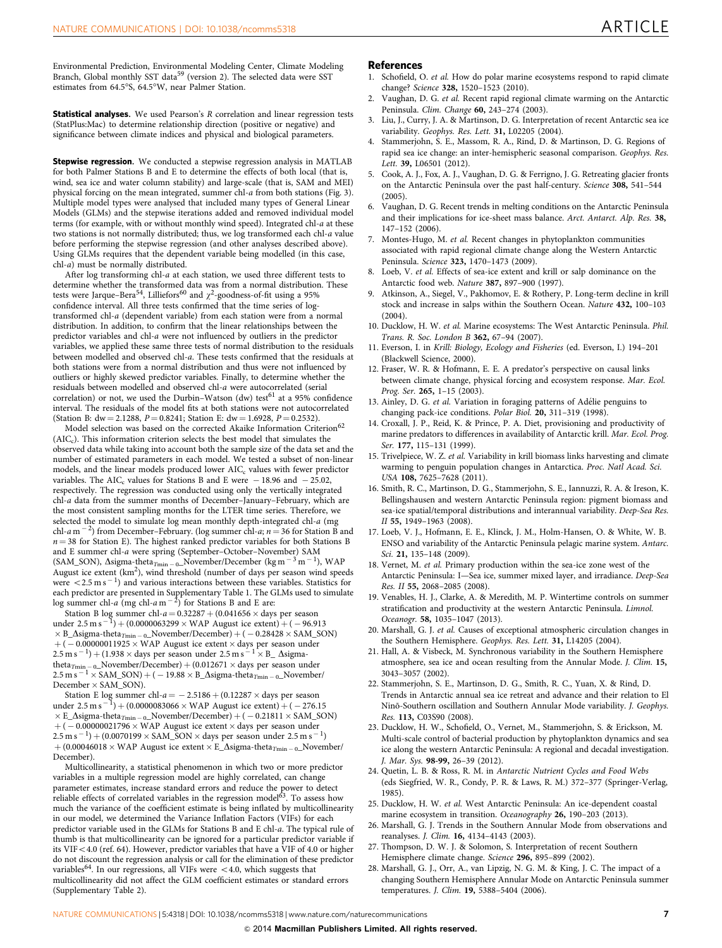<span id="page-6-0"></span>Environmental Prediction, Environmental Modeling Center, Climate Modeling Branch, Global monthly SST data<sup>[59](#page-7-0)</sup> (version 2). The selected data were SST estimates from 64.5°S, 64.5°W, near Palmer Station.

**Statistical analyses.** We used Pearson's R correlation and linear regression tests (StatPlus:Mac) to determine relationship direction (positive or negative) and significance between climate indices and physical and biological parameters.

**Stepwise regression.** We conducted a stepwise regression analysis in MATLAB for both Palmer Stations B and E to determine the effects of both local (that is, wind, sea ice and water column stability) and large-scale (that is, SAM and MEI) physical forcing on the mean integrated, summer chl-a from both stations ([Fig. 3](#page-3-0)). Multiple model types were analysed that included many types of General Linear Models (GLMs) and the stepwise iterations added and removed individual model terms (for example, with or without monthly wind speed). Integrated chl-a at these two stations is not normally distributed; thus, we log transformed each chl-a value before performing the stepwise regression (and other analyses described above). Using GLMs requires that the dependent variable being modelled (in this case, chl-a) must be normally distributed.

After log transforming chl-a at each station, we used three different tests to determine whether the transformed data was from a normal distribution. These tests were Jarque–Bera<sup>54</sup>, Lilliefors<sup>60</sup> and  $\chi^2$ -goodness-of-fit using a 95% confidence interval. All three tests confirmed that the time series of logtransformed chl-a (dependent variable) from each station were from a normal distribution. In addition, to confirm that the linear relationships between the predictor variables and chl-a were not influenced by outliers in the predictor variables, we applied these same three tests of normal distribution to the residuals between modelled and observed chl-a. These tests confirmed that the residuals at both stations were from a normal distribution and thus were not influenced by outliers or highly skewed predictor variables. Finally, to determine whether the residuals between modelled and observed chl-a were autocorrelated (serial correlation) or not, we used the Durbin-Watson (dw) test<sup>[61](#page-7-0)</sup> at a 95% confidence interval. The residuals of the model fits at both stations were not autocorrelated (Station B: dw = 2.1288,  $P = 0.8241$ ; Station E: dw = 1.6928,  $P = 0.2532$ ).

Model selection was based on the corrected Akaike Information Criterion<sup>[62](#page-7-0)</sup>  $(AIC<sub>c</sub>)$ . This information criterion selects the best model that simulates the observed data while taking into account both the sample size of the data set and the number of estimated parameters in each model. We tested a subset of non-linear models, and the linear models produced lower  $AIC<sub>c</sub>$  values with fewer predictor variables. The AIC<sub>c</sub> values for Stations B and E were  $-18.96$  and  $-25.02$ , respectively. The regression was conducted using only the vertically integrated chl-a data from the summer months of December–January–February, which are the most consistent sampling months for the LTER time series. Therefore, we selected the model to simulate log mean monthly depth-integrated chl-a (mg chl-a m<sup>-2</sup>) from December-February. (log summer chl-a;  $n = 36$  for Station B and  $n = 38$  for Station E). The highest ranked predictor variables for both Stations B and E summer chl-a were spring (September–October–November) SAM (SAM\_SON),  $\Delta$ sigma-theta $_{T\text{min} - 0}$ \_November/December (kg m  $^{-3}$  m  $^{-1}$ ), WAP August ice extent (km<sup>2</sup>), wind threshold (number of days per season wind speeds were  $\langle 2.5 \text{ m s}^{-1} \rangle$  and various interactions between these variables. Statistics for each predictor are presented in Supplementary Table 1. The GLMs used to simulate log summer chl-a (mg chl-a m $^{-2}$ ) for Stations B and E are:

Station B log summer chl-a =  $0.32287 + (0.041656 \times \text{days per season}$ <br>under  $2.5 \text{ m s}^{-1}$ ) +  $(0.0000063299 \times \text{WAP}$  August ice extent) + ( – 96.913  $\times$  B\_ $\Delta$ sigma-theta<sub>Tmin – 0</sub>\_November/December) + ( – 0.28428  $\times$  SAM\_SON)  $+(-0.00000011925 \times \text{WAP}$  August ice extent  $\times$  days per season under 2.5 m s<sup>-1</sup>  $\times$  B<sub>-</sub>  $\Delta$ sigmatheta $_{T\text{min}}$  – 0\_November/December) + (0.012671  $\times$  days per season under 2.5 m s  $^{-1}$   $\times$  SAM\_SON) + ( – 19.88  $\times$  B\_Asigma-theta $_{T\text{min}}$  – 0\_November/  $December \times SAM_SON$ ).

Station E log summer chl- $a = -2.5186 + (0.12287 \times \text{days per season}$ <br>under  $2.5 \text{ m s}^{-1}$ ) + (0.0000083066 × WAP August ice extent) + ( - 276.15  $\times$  E\_ $\Delta$ sigma-theta $_{Tmin - 0}$ \_November/December) + ( -0.21811  $\times$  SAM\_SON)  $+$  ( – 0.00000021796  $\times$  WAP August ice extent  $\times$  days per season under  $(2.5 \text{ m s}^{-1}) + (0.0070199 \times \text{SAM}\_{\text{SON}} \times \text{days}$  per season under  $2.5 \text{ m s}^{-1}$  $+$  (0.00046018  $\times$  WAP August ice extent  $\times$  E\_ $\Delta$ sigma-theta $_{T\mathrm{min} \, - \, 0}$ \_November/ December)

Multicollinearity, a statistical phenomenon in which two or more predictor variables in a multiple regression model are highly correlated, can change parameter estimates, increase standard errors and reduce the power to detect reliable effects of correlated variables in the regression model<sup>63</sup>. To assess how much the variance of the coefficient estimate is being inflated by multicollinearity in our model, we determined the Variance Inflation Factors (VIFs) for each predictor variable used in the GLMs for Stations B and E chl-a. The typical rule of thumb is that multicollinearity can be ignored for a particular predictor variable if its VIF < 4.0 ([ref. 64](#page-7-0)). However, predictor variables that have a VIF of 4.0 or higher do not discount the regression analysis or call for the elimination of these predictor variables<sup>[64](#page-7-0)</sup>. In our regressions, all VIFs were  $<$  4.0, which suggests that multicollinearity did not affect the GLM coefficient estimates or standard errors (Supplementary Table 2).

#### **References**

- 1. Schofield, O. et al. How do polar marine ecosystems respond to rapid climate change? Science 328, 1520–1523 (2010).
- Vaughan, D. G. et al. Recent rapid regional climate warming on the Antarctic Peninsula. Clim. Change 60, 243–274 (2003).
- 3. Liu, J., Curry, J. A. & Martinson, D. G. Interpretation of recent Antarctic sea ice variability. Geophys. Res. Lett. 31, L02205 (2004).
- 4. Stammerjohn, S. E., Massom, R. A., Rind, D. & Martinson, D. G. Regions of rapid sea ice change: an inter-hemispheric seasonal comparison. Geophys. Res. Lett. 39, L06501 (2012).
- 5. Cook, A. J., Fox, A. J., Vaughan, D. G. & Ferrigno, J. G. Retreating glacier fronts on the Antarctic Peninsula over the past half-century. Science 308, 541–544  $(2005)$
- Vaughan, D. G. Recent trends in melting conditions on the Antarctic Peninsula and their implications for ice-sheet mass balance. Arct. Antarct. Alp. Res. 38, 147–152 (2006).
- 7. Montes-Hugo, M. et al. Recent changes in phytoplankton communities associated with rapid regional climate change along the Western Antarctic Peninsula. Science 323, 1470–1473 (2009).
- Loeb, V. et al. Effects of sea-ice extent and krill or salp dominance on the Antarctic food web. Nature 387, 897–900 (1997).
- 9. Atkinson, A., Siegel, V., Pakhomov, E. & Rothery, P. Long-term decline in krill stock and increase in salps within the Southern Ocean. Nature 432, 100–103 (2004).
- 10. Ducklow, H. W. et al. Marine ecosystems: The West Antarctic Peninsula. Phil. Trans. R. Soc. London B 362, 67–94 (2007).
- 11. Everson, I. in Krill: Biology, Ecology and Fisheries (ed. Everson, I.) 194–201 (Blackwell Science, 2000).
- 12. Fraser, W. R. & Hofmann, E. E. A predator's perspective on causal links between climate change, physical forcing and ecosystem response. Mar. Ecol. Prog. Ser. 265, 1–15 (2003).
- 13. Ainley, D. G. et al. Variation in foraging patterns of Adélie penguins to changing pack-ice conditions. Polar Biol. 20, 311–319 (1998).
- 14. Croxall, J. P., Reid, K. & Prince, P. A. Diet, provisioning and productivity of marine predators to differences in availability of Antarctic krill. Mar. Ecol. Prog. Ser. 177, 115–131 (1999).
- 15. Trivelpiece, W. Z. et al. Variability in krill biomass links harvesting and climate warming to penguin population changes in Antarctica. Proc. Natl Acad. Sci. USA 108, 7625–7628 (2011).
- 16. Smith, R. C., Martinson, D. G., Stammerjohn, S. E., Iannuzzi, R. A. & Ireson, K. Bellingshausen and western Antarctic Peninsula region: pigment biomass and sea-ice spatial/temporal distributions and interannual variability. Deep-Sea Res. II 55, 1949–1963 (2008).
- 17. Loeb, V. J., Hofmann, E. E., Klinck, J. M., Holm-Hansen, O. & White, W. B. ENSO and variability of the Antarctic Peninsula pelagic marine system. Antarc. Sci. 21, 135–148 (2009).
- 18. Vernet, M. et al. Primary production within the sea-ice zone west of the Antarctic Peninsula: I—Sea ice, summer mixed layer, and irradiance. Deep-Sea Res. II 55, 2068–2085 (2008).
- 19. Venables, H. J., Clarke, A. & Meredith, M. P. Wintertime controls on summer stratification and productivity at the western Antarctic Peninsula. Limnol. Oceanogr. 58, 1035–1047 (2013).
- 20. Marshall, G. J. et al. Causes of exceptional atmospheric circulation changes in the Southern Hemisphere. Geophys. Res. Lett. 31, L14205 (2004).
- 21. Hall, A. & Visbeck, M. Synchronous variability in the Southern Hemisphere atmosphere, sea ice and ocean resulting from the Annular Mode. J. Clim. 15, 3043–3057 (2002).
- 22. Stammerjohn, S. E., Martinson, D. G., Smith, R. C., Yuan, X. & Rind, D. Trends in Antarctic annual sea ice retreat and advance and their relation to El Nino-Southern oscillation and Southern Annular Mode variability. J. Geophys. Res. 113, C03S90 (2008).
- 23. Ducklow, H. W., Schofield, O., Vernet, M., Stammerjohn, S. & Erickson, M. Multi-scale control of bacterial production by phytoplankton dynamics and sea ice along the western Antarctic Peninsula: A regional and decadal investigation. J. Mar. Sys. 98-99, 26–39 (2012).
- 24. Quetin, L. B. & Ross, R. M. in Antarctic Nutrient Cycles and Food Webs (eds Siegfried, W. R., Condy, P. R. & Laws, R. M.) 372–377 (Springer-Verlag, 1985).
- 25. Ducklow, H. W. et al. West Antarctic Peninsula: An ice-dependent coastal marine ecosystem in transition. Oceanography 26, 190–203 (2013).
- 26. Marshall, G. J. Trends in the Southern Annular Mode from observations and reanalyses. J. Clim. 16, 4134–4143 (2003).
- 27. Thompson, D. W. J. & Solomon, S. Interpretation of recent Southern Hemisphere climate change. Science 296, 895–899 (2002).
- 28. Marshall, G. J., Orr, A., van Lipzig, N. G. M. & King, J. C. The impact of a changing Southern Hemisphere Annular Mode on Antarctic Peninsula summer temperatures. J. Clim. 19, 5388–5404 (2006).